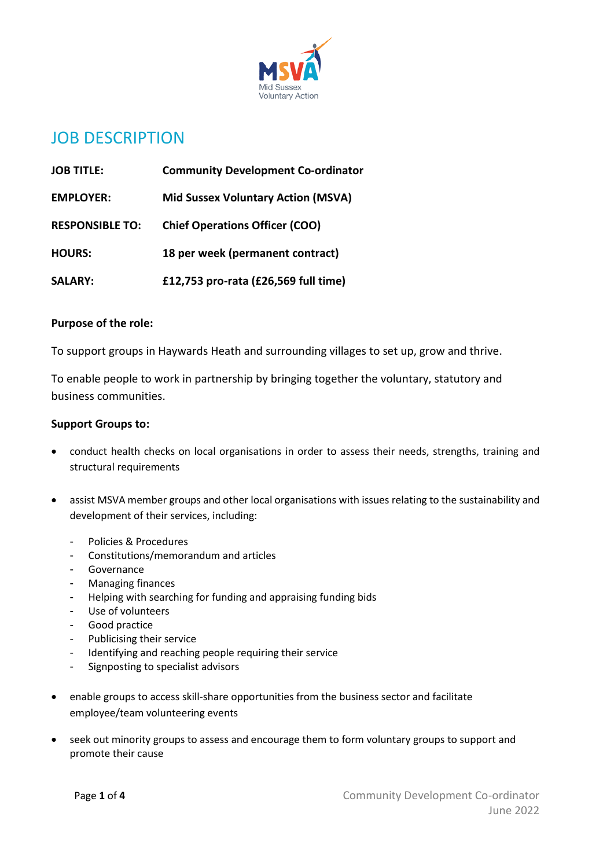

# JOB DESCRIPTION

| <b>JOB TITLE:</b>      | <b>Community Development Co-ordinator</b> |
|------------------------|-------------------------------------------|
| <b>EMPLOYER:</b>       | <b>Mid Sussex Voluntary Action (MSVA)</b> |
| <b>RESPONSIBLE TO:</b> | <b>Chief Operations Officer (COO)</b>     |
| <b>HOURS:</b>          | 18 per week (permanent contract)          |
| <b>SALARY:</b>         | £12,753 pro-rata (£26,569 full time)      |

### **Purpose of the role:**

To support groups in Haywards Heath and surrounding villages to set up, grow and thrive.

To enable people to work in partnership by bringing together the voluntary, statutory and business communities.

## **Support Groups to:**

- conduct health checks on local organisations in order to assess their needs, strengths, training and structural requirements
- assist MSVA member groups and other local organisations with issues relating to the sustainability and development of their services, including:
	- Policies & Procedures
	- Constitutions/memorandum and articles
	- Governance
	- Managing finances
	- Helping with searching for funding and appraising funding bids
	- Use of volunteers
	- Good practice
	- Publicising their service
	- Identifying and reaching people requiring their service
	- Signposting to specialist advisors
- enable groups to access skill-share opportunities from the business sector and facilitate employee/team volunteering events
- seek out minority groups to assess and encourage them to form voluntary groups to support and promote their cause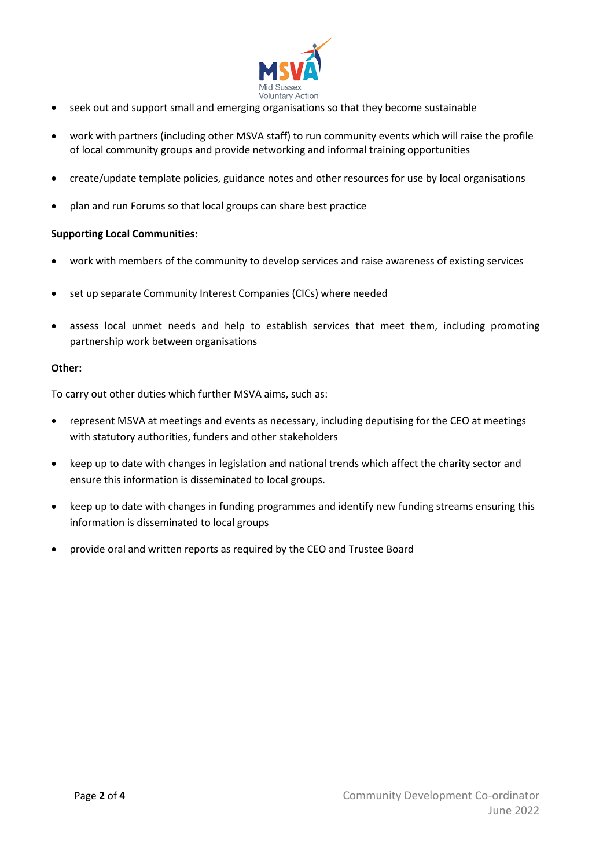

- seek out and support small and emerging organisations so that they become sustainable
- work with partners (including other MSVA staff) to run community events which will raise the profile of local community groups and provide networking and informal training opportunities
- create/update template policies, guidance notes and other resources for use by local organisations
- plan and run Forums so that local groups can share best practice

#### **Supporting Local Communities:**

- work with members of the community to develop services and raise awareness of existing services
- set up separate Community Interest Companies (CICs) where needed
- assess local unmet needs and help to establish services that meet them, including promoting partnership work between organisations

#### **Other:**

To carry out other duties which further MSVA aims, such as:

- represent MSVA at meetings and events as necessary, including deputising for the CEO at meetings with statutory authorities, funders and other stakeholders
- keep up to date with changes in legislation and national trends which affect the charity sector and ensure this information is disseminated to local groups.
- keep up to date with changes in funding programmes and identify new funding streams ensuring this information is disseminated to local groups
- provide oral and written reports as required by the CEO and Trustee Board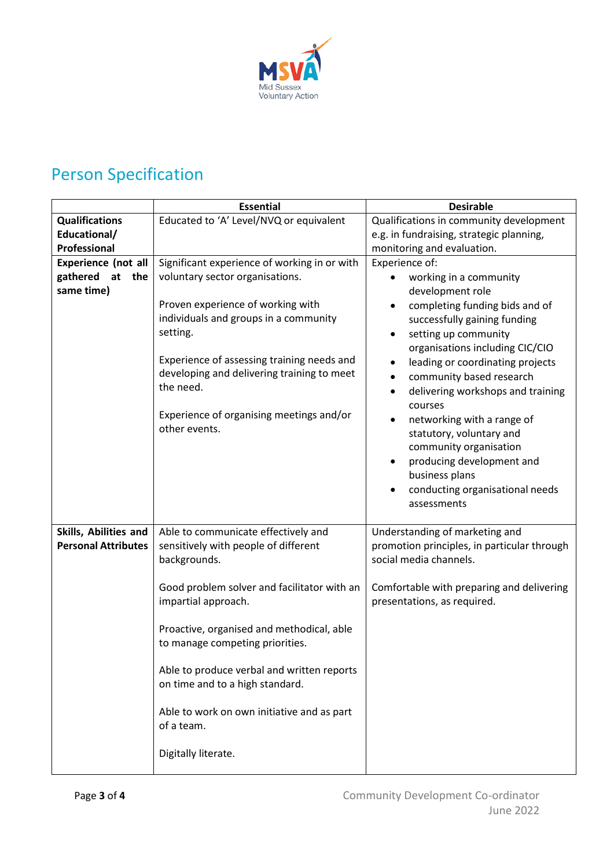

# Person Specification

|                                                                   | <b>Essential</b>                                                                                                                                                                                                                                             | <b>Desirable</b>                                                                                                                                                                                                                                                                                                                                                                                                                                                   |
|-------------------------------------------------------------------|--------------------------------------------------------------------------------------------------------------------------------------------------------------------------------------------------------------------------------------------------------------|--------------------------------------------------------------------------------------------------------------------------------------------------------------------------------------------------------------------------------------------------------------------------------------------------------------------------------------------------------------------------------------------------------------------------------------------------------------------|
| <b>Qualifications</b>                                             | Educated to 'A' Level/NVQ or equivalent                                                                                                                                                                                                                      | Qualifications in community development                                                                                                                                                                                                                                                                                                                                                                                                                            |
| Educational/                                                      |                                                                                                                                                                                                                                                              | e.g. in fundraising, strategic planning,                                                                                                                                                                                                                                                                                                                                                                                                                           |
| Professional                                                      |                                                                                                                                                                                                                                                              | monitoring and evaluation.                                                                                                                                                                                                                                                                                                                                                                                                                                         |
| <b>Experience (not all</b><br>gathered<br>at<br>the<br>same time) | Significant experience of working in or with<br>voluntary sector organisations.                                                                                                                                                                              | Experience of:<br>working in a community<br>development role                                                                                                                                                                                                                                                                                                                                                                                                       |
|                                                                   | Proven experience of working with<br>individuals and groups in a community<br>setting.<br>Experience of assessing training needs and<br>developing and delivering training to meet<br>the need.<br>Experience of organising meetings and/or<br>other events. | completing funding bids and of<br>$\bullet$<br>successfully gaining funding<br>setting up community<br>organisations including CIC/CIO<br>leading or coordinating projects<br>community based research<br>٠<br>delivering workshops and training<br>$\bullet$<br>courses<br>networking with a range of<br>٠<br>statutory, voluntary and<br>community organisation<br>producing development and<br>business plans<br>conducting organisational needs<br>assessments |
| Skills, Abilities and<br><b>Personal Attributes</b>               | Able to communicate effectively and<br>sensitively with people of different<br>backgrounds.                                                                                                                                                                  | Understanding of marketing and<br>promotion principles, in particular through<br>social media channels.                                                                                                                                                                                                                                                                                                                                                            |
|                                                                   | Good problem solver and facilitator with an<br>impartial approach.                                                                                                                                                                                           | Comfortable with preparing and delivering<br>presentations, as required.                                                                                                                                                                                                                                                                                                                                                                                           |
|                                                                   | Proactive, organised and methodical, able<br>to manage competing priorities.                                                                                                                                                                                 |                                                                                                                                                                                                                                                                                                                                                                                                                                                                    |
|                                                                   | Able to produce verbal and written reports<br>on time and to a high standard.                                                                                                                                                                                |                                                                                                                                                                                                                                                                                                                                                                                                                                                                    |
|                                                                   | Able to work on own initiative and as part<br>of a team.                                                                                                                                                                                                     |                                                                                                                                                                                                                                                                                                                                                                                                                                                                    |
|                                                                   | Digitally literate.                                                                                                                                                                                                                                          |                                                                                                                                                                                                                                                                                                                                                                                                                                                                    |